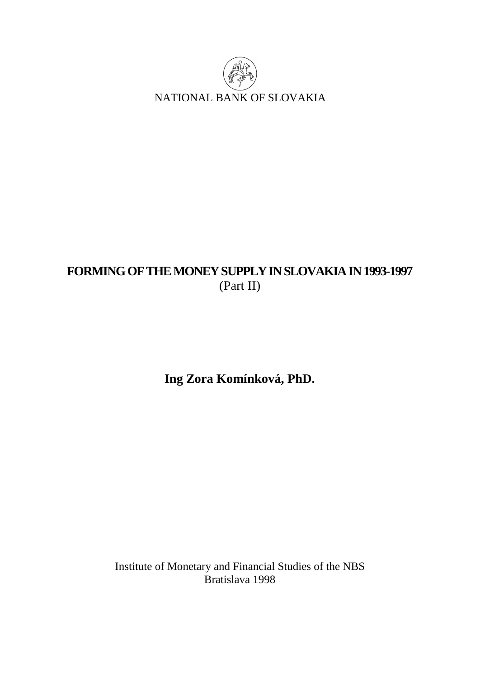

# **FORMING OF THE MONEY SUPPLY IN SLOVAKIA IN 1993-1997**  (Part II)

**Ing Zora Komínková, PhD.** 

Institute of Monetary and Financial Studies of the NBS Bratislava 1998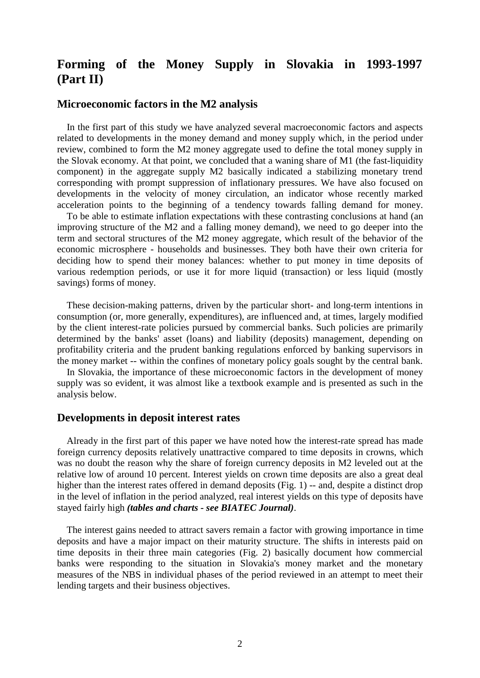# **Forming of the Money Supply in Slovakia in 1993-1997 (Part II)**

### **Microeconomic factors in the M2 analysis**

 In the first part of this study we have analyzed several macroeconomic factors and aspects related to developments in the money demand and money supply which, in the period under review, combined to form the M2 money aggregate used to define the total money supply in the Slovak economy. At that point, we concluded that a waning share of M1 (the fast-liquidity component) in the aggregate supply M2 basically indicated a stabilizing monetary trend corresponding with prompt suppression of inflationary pressures. We have also focused on developments in the velocity of money circulation, an indicator whose recently marked acceleration points to the beginning of a tendency towards falling demand for money.

 To be able to estimate inflation expectations with these contrasting conclusions at hand (an improving structure of the M2 and a falling money demand), we need to go deeper into the term and sectoral structures of the M2 money aggregate, which result of the behavior of the economic microsphere - households and businesses. They both have their own criteria for deciding how to spend their money balances: whether to put money in time deposits of various redemption periods, or use it for more liquid (transaction) or less liquid (mostly savings) forms of money.

 These decision-making patterns, driven by the particular short- and long-term intentions in consumption (or, more generally, expenditures), are influenced and, at times, largely modified by the client interest-rate policies pursued by commercial banks. Such policies are primarily determined by the banks' asset (loans) and liability (deposits) management, depending on profitability criteria and the prudent banking regulations enforced by banking supervisors in the money market -- within the confines of monetary policy goals sought by the central bank.

 In Slovakia, the importance of these microeconomic factors in the development of money supply was so evident, it was almost like a textbook example and is presented as such in the analysis below.

#### **Developments in deposit interest rates**

 Already in the first part of this paper we have noted how the interest-rate spread has made foreign currency deposits relatively unattractive compared to time deposits in crowns, which was no doubt the reason why the share of foreign currency deposits in M2 leveled out at the relative low of around 10 percent. Interest yields on crown time deposits are also a great deal higher than the interest rates offered in demand deposits (Fig. 1) -- and, despite a distinct drop in the level of inflation in the period analyzed, real interest yields on this type of deposits have stayed fairly high *(tables and charts - see BIATEC Journal)*.

 The interest gains needed to attract savers remain a factor with growing importance in time deposits and have a major impact on their maturity structure. The shifts in interests paid on time deposits in their three main categories (Fig. 2) basically document how commercial banks were responding to the situation in Slovakia's money market and the monetary measures of the NBS in individual phases of the period reviewed in an attempt to meet their lending targets and their business objectives.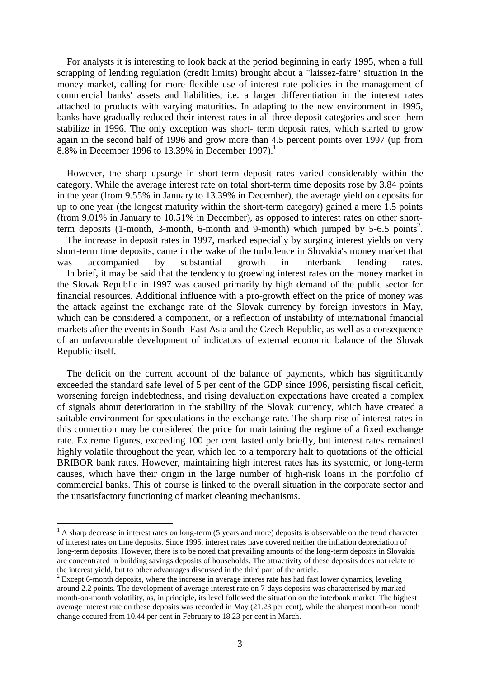For analysts it is interesting to look back at the period beginning in early 1995, when a full scrapping of lending regulation (credit limits) brought about a "laissez-faire" situation in the money market, calling for more flexible use of interest rate policies in the management of commercial banks' assets and liabilities, i.e. a larger differentiation in the interest rates attached to products with varying maturities. In adapting to the new environment in 1995, banks have gradually reduced their interest rates in all three deposit categories and seen them stabilize in 1996. The only exception was short- term deposit rates, which started to grow again in the second half of 1996 and grow more than 4.5 percent points over 1997 (up from 8.8% in December 1996 to 13.39% in December 1997).<sup>1</sup>

 However, the sharp upsurge in short-term deposit rates varied considerably within the category. While the average interest rate on total short-term time deposits rose by 3.84 points in the year (from 9.55% in January to 13.39% in December), the average yield on deposits for up to one year (the longest maturity within the short-term category) gained a mere 1.5 points (from 9.01% in January to 10.51% in December), as opposed to interest rates on other shortterm deposits  $(1$ -month, 3-month, 6-month and 9-month) which jumped by 5-6.5 points<sup>2</sup>. The increase in deposit rates in 1997, marked especially by surging interest yields on very short-term time deposits, came in the wake of the turbulence in Slovakia's money market that was accompanied by substantial growth in interbank lending rates. In brief, it may be said that the tendency to groewing interest rates on the money market in the Slovak Republic in 1997 was caused primarily by high demand of the public sector for financial resources. Additional influence with a pro-growth effect on the price of money was the attack against the exchange rate of the Slovak currency by foreign investors in May, which can be considered a component, or a reflection of instability of international financial markets after the events in South- East Asia and the Czech Republic, as well as a consequence of an unfavourable development of indicators of external economic balance of the Slovak Republic itself.

 The deficit on the current account of the balance of payments, which has significantly exceeded the standard safe level of 5 per cent of the GDP since 1996, persisting fiscal deficit, worsening foreign indebtedness, and rising devaluation expectations have created a complex of signals about deterioration in the stability of the Slovak currency, which have created a suitable environment for speculations in the exchange rate. The sharp rise of interest rates in this connection may be considered the price for maintaining the regime of a fixed exchange rate. Extreme figures, exceeding 100 per cent lasted only briefly, but interest rates remained highly volatile throughout the year, which led to a temporary halt to quotations of the official BRIBOR bank rates. However, maintaining high interest rates has its systemic, or long-term causes, which have their origin in the large number of high-risk loans in the portfolio of commercial banks. This of course is linked to the overall situation in the corporate sector and the unsatisfactory functioning of market cleaning mechanisms.

 $\overline{a}$ 

 $<sup>1</sup>$  A sharp decrease in interest rates on long-term (5 years and more) deposits is observable on the trend character</sup> of interest rates on time deposits. Since 1995, interest rates have covered neither the inflation depreciation of long-term deposits. However, there is to be noted that prevailing amounts of the long-term deposits in Slovakia are concentrated in building savings deposits of households. The attractivity of these deposits does not relate to the interest yield, but to other advantages discussed in the third part of the article.

 $2 \text{ Except 6-month deposits, where the increase in average interest rate has had fast lower dynamics, leveling.}$ around 2.2 points. The development of average interest rate on 7-days deposits was characterised by marked month-on-month volatility, as, in principle, its level followed the situation on the interbank market. The highest average interest rate on these deposits was recorded in May (21.23 per cent), while the sharpest month-on month change occured from 10.44 per cent in February to 18.23 per cent in March.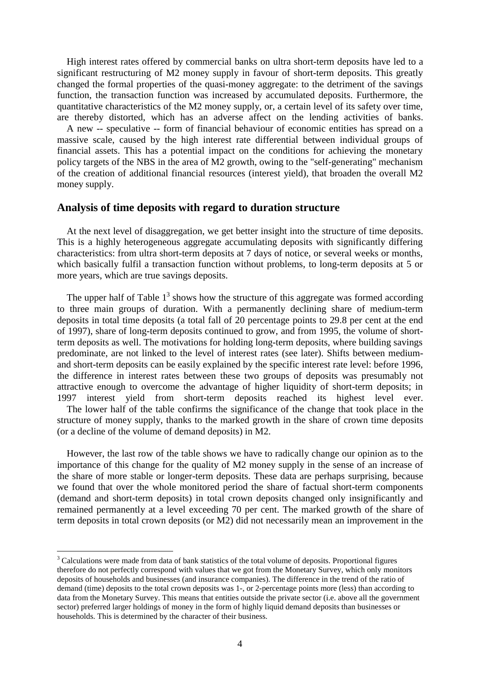High interest rates offered by commercial banks on ultra short-term deposits have led to a significant restructuring of M2 money supply in favour of short-term deposits. This greatly changed the formal properties of the quasi-money aggregate: to the detriment of the savings function, the transaction function was increased by accumulated deposits. Furthermore, the quantitative characteristics of the M2 money supply, or, a certain level of its safety over time, are thereby distorted, which has an adverse affect on the lending activities of banks.

 A new -- speculative -- form of financial behaviour of economic entities has spread on a massive scale, caused by the high interest rate differential between individual groups of financial assets. This has a potential impact on the conditions for achieving the monetary policy targets of the NBS in the area of M2 growth, owing to the "self-generating" mechanism of the creation of additional financial resources (interest yield), that broaden the overall M2 money supply.

## **Analysis of time deposits with regard to duration structure**

(or a decline of the volume of demand deposits) in M2.

 $\overline{a}$ 

 At the next level of disaggregation, we get better insight into the structure of time deposits. This is a highly heterogeneous aggregate accumulating deposits with significantly differing characteristics: from ultra short-term deposits at 7 days of notice, or several weeks or months, which basically fulfil a transaction function without problems, to long-term deposits at 5 or more years, which are true savings deposits.

The upper half of Table  $1<sup>3</sup>$  shows how the structure of this aggregate was formed according to three main groups of duration. With a permanently declining share of medium-term deposits in total time deposits (a total fall of 20 percentage points to 29.8 per cent at the end of 1997), share of long-term deposits continued to grow, and from 1995, the volume of shortterm deposits as well. The motivations for holding long-term deposits, where building savings predominate, are not linked to the level of interest rates (see later). Shifts between mediumand short-term deposits can be easily explained by the specific interest rate level: before 1996, the difference in interest rates between these two groups of deposits was presumably not attractive enough to overcome the advantage of higher liquidity of short-term deposits; in 1997 interest yield from short-term deposits reached its highest level ever. The lower half of the table confirms the significance of the change that took place in the structure of money supply, thanks to the marked growth in the share of crown time deposits

 However, the last row of the table shows we have to radically change our opinion as to the importance of this change for the quality of M2 money supply in the sense of an increase of the share of more stable or longer-term deposits. These data are perhaps surprising, because we found that over the whole monitored period the share of factual short-term components (demand and short-term deposits) in total crown deposits changed only insignificantly and remained permanently at a level exceeding 70 per cent. The marked growth of the share of term deposits in total crown deposits (or M2) did not necessarily mean an improvement in the

<sup>&</sup>lt;sup>3</sup> Calculations were made from data of bank statistics of the total volume of deposits. Proportional figures therefore do not perfectly correspond with values that we got from the Monetary Survey, which only monitors deposits of households and businesses (and insurance companies). The difference in the trend of the ratio of demand (time) deposits to the total crown deposits was 1-, or 2-percentage points more (less) than according to data from the Monetary Survey. This means that entities outside the private sector (i.e. above all the government sector) preferred larger holdings of money in the form of highly liquid demand deposits than businesses or households. This is determined by the character of their business.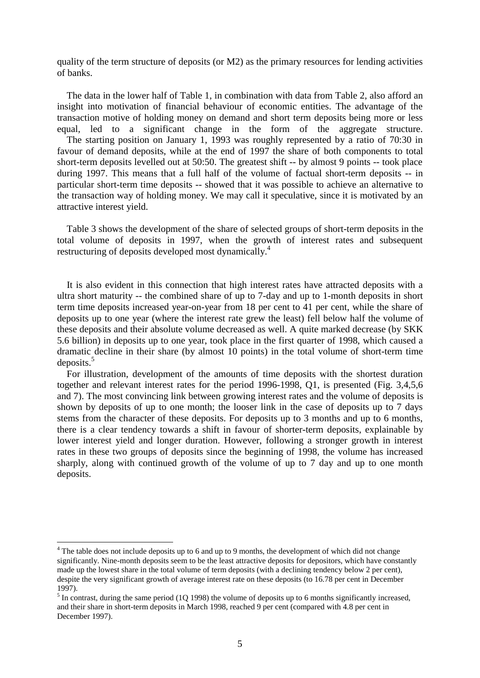quality of the term structure of deposits (or M2) as the primary resources for lending activities of banks.

 The data in the lower half of Table 1, in combination with data from Table 2, also afford an insight into motivation of financial behaviour of economic entities. The advantage of the transaction motive of holding money on demand and short term deposits being more or less equal, led to a significant change in the form of the aggregate structure. The starting position on January 1, 1993 was roughly represented by a ratio of 70:30 in favour of demand deposits, while at the end of 1997 the share of both components to total short-term deposits levelled out at 50:50. The greatest shift -- by almost 9 points -- took place during 1997. This means that a full half of the volume of factual short-term deposits -- in particular short-term time deposits -- showed that it was possible to achieve an alternative to the transaction way of holding money. We may call it speculative, since it is motivated by an attractive interest yield.

 Table 3 shows the development of the share of selected groups of short-term deposits in the total volume of deposits in 1997, when the growth of interest rates and subsequent restructuring of deposits developed most dynamically.<sup>4</sup>

 It is also evident in this connection that high interest rates have attracted deposits with a ultra short maturity -- the combined share of up to 7-day and up to 1-month deposits in short term time deposits increased year-on-year from 18 per cent to 41 per cent, while the share of deposits up to one year (where the interest rate grew the least) fell below half the volume of these deposits and their absolute volume decreased as well. A quite marked decrease (by SKK 5.6 billion) in deposits up to one year, took place in the first quarter of 1998, which caused a dramatic decline in their share (by almost 10 points) in the total volume of short-term time deposits. $5$ 

 For illustration, development of the amounts of time deposits with the shortest duration together and relevant interest rates for the period 1996-1998, Q1, is presented (Fig. 3,4,5,6 and 7). The most convincing link between growing interest rates and the volume of deposits is shown by deposits of up to one month; the looser link in the case of deposits up to 7 days stems from the character of these deposits. For deposits up to 3 months and up to 6 months, there is a clear tendency towards a shift in favour of shorter-term deposits, explainable by lower interest yield and longer duration. However, following a stronger growth in interest rates in these two groups of deposits since the beginning of 1998, the volume has increased sharply, along with continued growth of the volume of up to 7 day and up to one month deposits.

 $\overline{a}$ 

<sup>&</sup>lt;sup>4</sup> The table does not include deposits up to 6 and up to 9 months, the development of which did not change significantly. Nine-month deposits seem to be the least attractive deposits for depositors, which have constantly made up the lowest share in the total volume of term deposits (with a declining tendency below 2 per cent), despite the very significant growth of average interest rate on these deposits (to 16.78 per cent in December 1997).

 $<sup>5</sup>$  In contrast, during the same period (1Q 1998) the volume of deposits up to 6 months significantly increased,</sup> and their share in short-term deposits in March 1998, reached 9 per cent (compared with 4.8 per cent in December 1997).